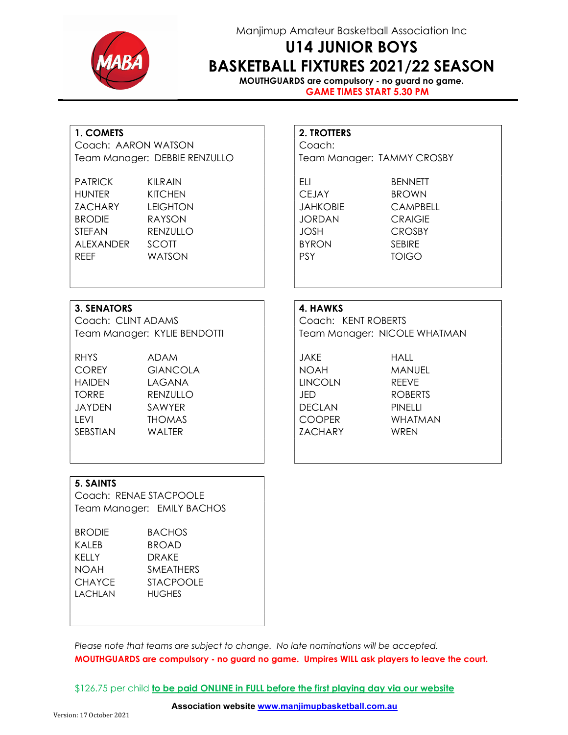

### Manjimup Amateur Basketball Association Inc

## U14 JUNIOR BOYS BASKETBALL FIXTURES 2021/22 SEASON

MOUTHGUARDS are compulsory - no guard no game. GAME TIMES START 5.30 PM

### 1. COMETS 2. TROTTERS

Coach: AARON WATSON Coach: Team Manager: DEBBIE RENZULLO Team Manager: TAMMY CROSBY

| <b>PATRICK</b> | <b>KILRAIN</b>  | FH.             | <b>BENNETT</b> |
|----------------|-----------------|-----------------|----------------|
| <b>HUNTER</b>  | <b>KITCHEN</b>  | <b>CEJAY</b>    | <b>BROWN</b>   |
| ZACHARY        | <b>LEIGHTON</b> | <b>JAHKOBIE</b> | <b>CAMPBEI</b> |
| <b>BRODIE</b>  | RAYSON          | <b>JORDAN</b>   | <b>CRAIGIE</b> |
| <b>STFFAN</b>  | RENZULLO        | <b>JOSH</b>     | <b>CROSBY</b>  |
| AI FXANDER     | <b>SCOTT</b>    | <b>BYRON</b>    | <b>SFBIRF</b>  |
| <b>RFFF</b>    | <b>WATSON</b>   | <b>PSY</b>      | TOIGO.         |
|                |                 |                 |                |

JAHKOBIE CAMPBELL JORDAN CRAIGIE

#### 3. SENATORS 4. HAWKS

Coach: CLINT ADAMS Coach: KENT ROBERTS

RHYS ADAM JAKE HALL COREY GIANCOLA | | NOAH MANUEL HAIDEN LAGANA LINCOLN REEVE TORRE RENZULLO I JED ROBERTS JAYDEN SAWYER DECLAN PINELLI LEVI THOMAS COOPER WHATMAN SEBSTIAN WALTER I ZACHARY WREN

Team Manager: KYLIE BENDOTTI | | | Team Manager: NICOLE WHATMAN

#### 5. SAINTS

Coach: RENAE STACPOOLE Team Manager: EMILY BACHOS

| <b>BRODIE</b> | <b>BACHOS</b>    |  |
|---------------|------------------|--|
| KAI FR        | <b>BROAD</b>     |  |
| KFIIY         | <b>DRAKF</b>     |  |
| <b>NOAH</b>   | <b>SMEATHERS</b> |  |
| <b>CHAYCE</b> | STACPOOLE        |  |
| LACHLAN       | <b>HUGHES</b>    |  |
|               |                  |  |

Please note that teams are subject to change. No late nominations will be accepted. MOUTHGUARDS are compulsory - no guard no game. Umpires WILL ask players to leave the court.

\$126.75 per child to be paid ONLINE in FULL before the first playing day via our website